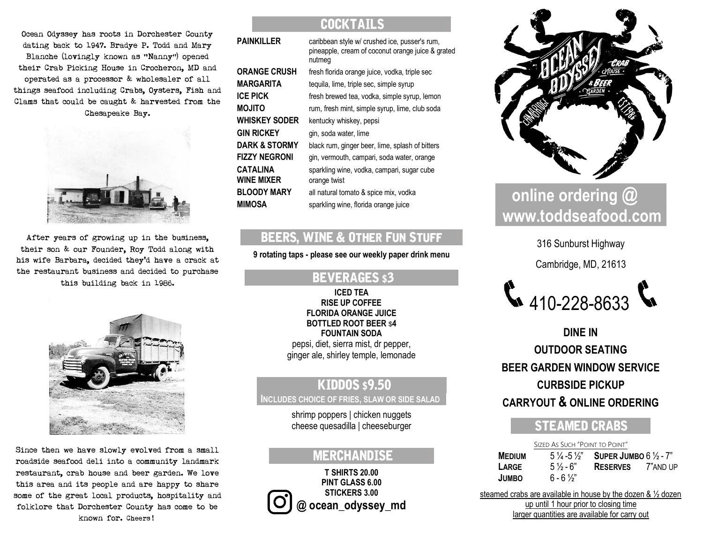Ocean Odyssey has roots in Dorchester County dating back to 1947. Bradye P. Todd and Mary Blanche (lovingly known as "Nanny") opened their Crab Picking House in Crocheron, MD and operated as a processor & wholesaler of all things seafood including Crabs, Oysters, Fish and Clams that could be caught & harvested from the Chesapeake Bay.



After years of growing up in the business, their son & our Founder, Roy Todd along with his wife Barbara, decided they'd have a crack at the restaurant business and decided to purchase this building back in 1986.



Since then we have slowly evolved from a small roadside seafood deli into a community landmark restaurant, crab house and beer garden. We love this area and its people and are happy to share some of the great local products, hospitality and folklore that Dorchester County has come to be known for. Cheers!

## **COCKTAIL**

| PAINKILLER             | caribbean style w/ crushed ice, pusser's rum,<br>pineapple, cream of coconut orange juice & grated<br>nutmeg |
|------------------------|--------------------------------------------------------------------------------------------------------------|
| ORANGE CRUSH           | fresh florida orange juice, vodka, triple sec                                                                |
| MARGARITA              | tequila, lime, triple sec, simple syrup                                                                      |
| ICE PICK               | fresh brewed tea, vodka, simple syrup, lemon                                                                 |
| <b>OTILOM</b>          | rum, fresh mint, simple syrup, lime, club soda                                                               |
| WHISKEY SODER          | kentucky whiskey, pepsi                                                                                      |
| GIN RICKEY             | gin, soda water, lime                                                                                        |
| DARK & STORMY          | black rum, ginger beer, lime, splash of bitters                                                              |
| FIZZY NEGRONI          | gin, vermouth, campari, soda water, orange                                                                   |
| CATALINA<br>WINE MIXER | sparkling wine, vodka, campari, sugar cube<br>orange twist                                                   |
| <b>BLOODY MARY</b>     | all natural tomato & spice mix, vodka                                                                        |
| MIMOSA                 | sparkling wine, florida orange juice                                                                         |
|                        |                                                                                                              |

## BEERS, WINE & OTHER FUN STUFF

**9 rotating taps - please see our weekly paper drink menu**

## **BEVERAGES \$3**

**ICED TEA RISE UP COFFEE FLORIDA ORANGE JUICE BOTTLED ROOT BEER** \$**4 FOUNTAIN SODA** pepsi, diet, sierra mist, dr pepper, ginger ale, shirley temple, lemonade

## **KIDDOS \$9.50 INCLUDES CHOICE OF FRIES, SLAW OR SIDE SALAD .**

shrimp poppers | chicken nuggets cheese quesadilla | cheeseburger

## **MERCHANDISE**

**T SHIRTS 20.00 PINT GLASS 6.00 STICKERS 3.00 @ ocean\_odyssey\_md**



# **online ordering @. . . [www.toddseafood.com](http://www.toddseafood.com/)..**

316 Sunburst Highway

Cambridge, MD, 21613



**DINE IN OUTDOOR SEATING BEER GARDEN WINDOW SERVICE CURBSIDE PICKUP CARRYOUT & ONLINE ORDERING**

## **STEAMED CRABS**

| $5\frac{1}{2}$ - 6" |                                                                                                                                 |
|---------------------|---------------------------------------------------------------------------------------------------------------------------------|
| $6 - 6\frac{1}{2}$  |                                                                                                                                 |
|                     | SIZED AS SUCH "POINT TO POINT"<br>$5\frac{1}{4}$ - 5 $\frac{1}{2}$ Super Jumbo 6 $\frac{1}{2}$ - 7"<br><b>RESERVES</b> 7"AND UP |

steamed crabs are available in house by the dozen & ½ dozen up until 1 hour prior to closing time larger quantities are available for carry out